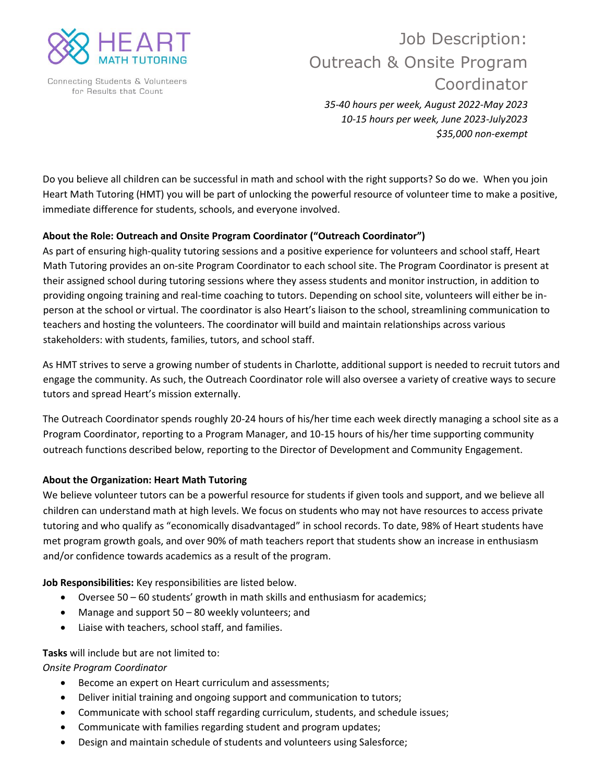

Connecting Students & Volunteers for Results that Count

# Job Description: Outreach & Onsite Program Coordinator

*35-40 hours per week, August 2022-May 2023 10-15 hours per week, June 2023-July2023 \$35,000 non-exempt*

Do you believe all children can be successful in math and school with the right supports? So do we. When you join Heart Math Tutoring (HMT) you will be part of unlocking the powerful resource of volunteer time to make a positive, immediate difference for students, schools, and everyone involved.

#### **About the Role: Outreach and Onsite Program Coordinator ("Outreach Coordinator")**

As part of ensuring high-quality tutoring sessions and a positive experience for volunteers and school staff, Heart Math Tutoring provides an on-site Program Coordinator to each school site. The Program Coordinator is present at their assigned school during tutoring sessions where they assess students and monitor instruction, in addition to providing ongoing training and real-time coaching to tutors. Depending on school site, volunteers will either be inperson at the school or virtual. The coordinator is also Heart's liaison to the school, streamlining communication to teachers and hosting the volunteers. The coordinator will build and maintain relationships across various stakeholders: with students, families, tutors, and school staff.

As HMT strives to serve a growing number of students in Charlotte, additional support is needed to recruit tutors and engage the community. As such, the Outreach Coordinator role will also oversee a variety of creative ways to secure tutors and spread Heart's mission externally.

The Outreach Coordinator spends roughly 20-24 hours of his/her time each week directly managing a school site as a Program Coordinator, reporting to a Program Manager, and 10-15 hours of his/her time supporting community outreach functions described below, reporting to the Director of Development and Community Engagement.

#### **About the Organization: Heart Math Tutoring**

We believe volunteer tutors can be a powerful resource for students if given tools and support, and we believe all children can understand math at high levels. We focus on students who may not have resources to access private tutoring and who qualify as "economically disadvantaged" in school records. To date, 98% of Heart students have met program growth goals, and over 90% of math teachers report that students show an increase in enthusiasm and/or confidence towards academics as a result of the program.

**Job Responsibilities:** Key responsibilities are listed below.

- Oversee 50 60 students' growth in math skills and enthusiasm for academics;
- Manage and support 50 80 weekly volunteers; and
- Liaise with teachers, school staff, and families.

#### **Tasks** will include but are not limited to:

*Onsite Program Coordinator* 

- Become an expert on Heart curriculum and assessments;
- Deliver initial training and ongoing support and communication to tutors;
- Communicate with school staff regarding curriculum, students, and schedule issues;
- Communicate with families regarding student and program updates;
- Design and maintain schedule of students and volunteers using Salesforce;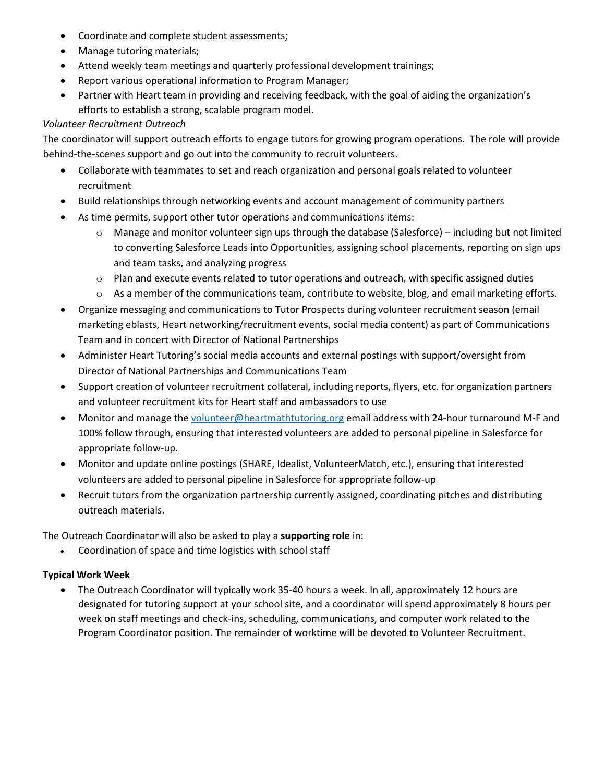- Coordinate and complete student assessments;
- Manage tutoring materials;
- Attend weekly team meetings and quarterly professional development trainings;
- Report various operational information to Program Manager;
- Partner with Heart team in providing and receiving feedback, with the goal of aiding the organization's efforts to establish a strong, scalable program model.

#### *Volunteer Recruitment Outreach*

The coordinator will support outreach efforts to engage tutors for growing program operations. The role will provide behind-the-scenes support and go out into the community to recruit volunteers.

- Collaborate with teammates to set and reach organization and personal goals related to volunteer recruitment
- Build relationships through networking events and account management of community partners
- As time permits, support other tutor operations and communications items:
	- o Manage and monitor volunteer sign ups through the database (Salesforce) including but not limited to converting Salesforce Leads into Opportunities, assigning school placements, reporting on sign ups and team tasks, and analyzing progress
	- $\circ$  Plan and execute events related to tutor operations and outreach, with specific assigned duties
	- o As a member of the communications team, contribute to website, blog, and email marketing efforts.
- Organize messaging and communications to Tutor Prospects during volunteer recruitment season (email marketing eblasts, Heart networking/recruitment events, social media content) as part of Communications Team and in concert with Director of National Partnerships
- Administer Heart Tutoring's social media accounts and external postings with support/oversight from Director of National Partnerships and Communications Team
- Support creation of volunteer recruitment collateral, including reports, flyers, etc. for organization partners and volunteer recruitment kits for Heart staff and ambassadors to use
- Monitor and manage th[e volunteer@heartmathtutoring.org](mailto:volunteer@heartmathtutoring.org) email address with 24-hour turnaround M-F and 100% follow through, ensuring that interested volunteers are added to personal pipeline in Salesforce for appropriate follow-up.
- Monitor and update online postings (SHARE, Idealist, VolunteerMatch, etc.), ensuring that interested volunteers are added to personal pipeline in Salesforce for appropriate follow-up
- Recruit tutors from the organization partnership currently assigned, coordinating pitches and distributing outreach materials.

The Outreach Coordinator will also be asked to play a **supporting role** in:

• Coordination of space and time logistics with school staff

## **Typical Work Week**

• The Outreach Coordinator will typically work 35-40 hours a week. In all, approximately 12 hours are designated for tutoring support at your school site, and a coordinator will spend approximately 8 hours per week on staff meetings and check-ins, scheduling, communications, and computer work related to the Program Coordinator position. The remainder of worktime will be devoted to Volunteer Recruitment.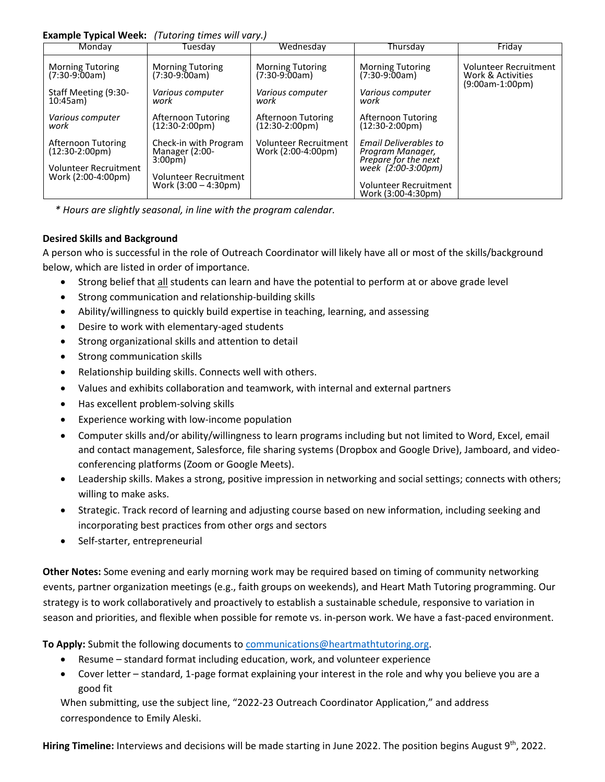#### **Example Typical Week:** *(Tutoring times will vary.)*

| Monday                                                                                               | Tuesdav                                                                                   | Wednesday                                      | Thursdav                                                                                | Friday                                                          |
|------------------------------------------------------------------------------------------------------|-------------------------------------------------------------------------------------------|------------------------------------------------|-----------------------------------------------------------------------------------------|-----------------------------------------------------------------|
| <b>Morning Tutoring</b><br>$(7:30-9:00am)$                                                           | <b>Morning Tutoring</b><br>$(7:30-9:00am)$                                                | <b>Morning Tutoring</b><br>$(7:30-9:00am)$     | <b>Morning Tutoring</b><br>$(7:30-9:00am)$                                              | Volunteer Recruitment<br>Work & Activities<br>$(9:00am-1:00pm)$ |
| Staff Meeting (9:30-<br>10:45am                                                                      | Various computer<br>work                                                                  | Various computer<br>work                       | Various computer<br>work                                                                |                                                                 |
| Various computer<br>work                                                                             | Afternoon Tutoring<br>$(12:30-2:00 \,\text{pm})$                                          | Afternoon Tutoring<br>$(12:30-2:00 \text{pm})$ | Afternoon Tutoring<br>(12:30-2:00pm)                                                    |                                                                 |
| Afternoon Tutoring<br>$(12:30-2:00 \text{pm})$<br><b>Volunteer Recruitment</b><br>Work (2:00-4:00pm) | Check-in with Program<br><b>Manager (2:00-</b><br>3:00pm)<br><b>Volunteer Recruitment</b> | Volunteer Recruitment<br>Work (2:00-4:00pm)    | Email Deliverables to<br>Program Manager,<br>Prepare for the next<br>week (2:00-3:00pm) |                                                                 |
|                                                                                                      | Work $(3:00 - 4:30 \text{pm})$                                                            |                                                | <b>Volunteer Recruitment</b><br>Work (3:00-4:30pm)                                      |                                                                 |

 *\* Hours are slightly seasonal, in line with the program calendar.* 

### **Desired Skills and Background**

A person who is successful in the role of Outreach Coordinator will likely have all or most of the skills/background below, which are listed in order of importance.

- Strong belief that all students can learn and have the potential to perform at or above grade level
- Strong communication and relationship-building skills
- Ability/willingness to quickly build expertise in teaching, learning, and assessing
- Desire to work with elementary-aged students
- Strong organizational skills and attention to detail
- Strong communication skills
- Relationship building skills. Connects well with others.
- Values and exhibits collaboration and teamwork, with internal and external partners
- Has excellent problem-solving skills
- Experience working with low-income population
- Computer skills and/or ability/willingness to learn programs including but not limited to Word, Excel, email and contact management, Salesforce, file sharing systems (Dropbox and Google Drive), Jamboard, and videoconferencing platforms (Zoom or Google Meets).
- Leadership skills. Makes a strong, positive impression in networking and social settings; connects with others; willing to make asks.
- Strategic. Track record of learning and adjusting course based on new information, including seeking and incorporating best practices from other orgs and sectors
- Self-starter, entrepreneurial

**Other Notes:** Some evening and early morning work may be required based on timing of community networking events, partner organization meetings (e.g., faith groups on weekends), and Heart Math Tutoring programming. Our strategy is to work collaboratively and proactively to establish a sustainable schedule, responsive to variation in season and priorities, and flexible when possible for remote vs. in-person work. We have a fast-paced environment.

**To Apply:** Submit the following documents to [communications@heartmathtutoring.org.](mailto:communications@heartmathtutoring.org)

- Resume standard format including education, work, and volunteer experience
- Cover letter standard, 1-page format explaining your interest in the role and why you believe you are a good fit

When submitting, use the subject line, "2022-23 Outreach Coordinator Application," and address correspondence to Emily Aleski.

Hiring Timeline: Interviews and decisions will be made starting in June 2022. The position begins August 9<sup>th</sup>, 2022.